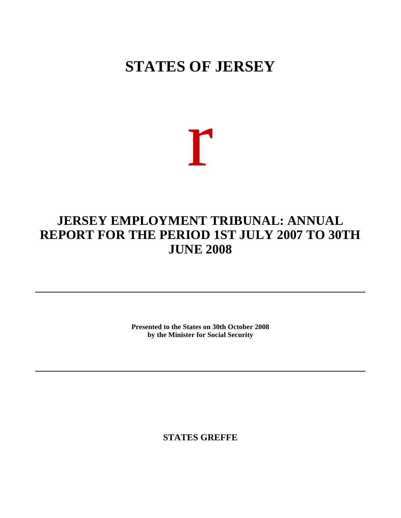## **STATES OF JERSEY**

# r

### **JERSEY EMPLOYMENT TRIBUNAL: ANNUAL REPORT FOR THE PERIOD 1ST JULY 2007 TO 30TH JUNE 2008**

**Presented to the States on 30th October 2008 by the Minister for Social Security**

**STATES GREFFE**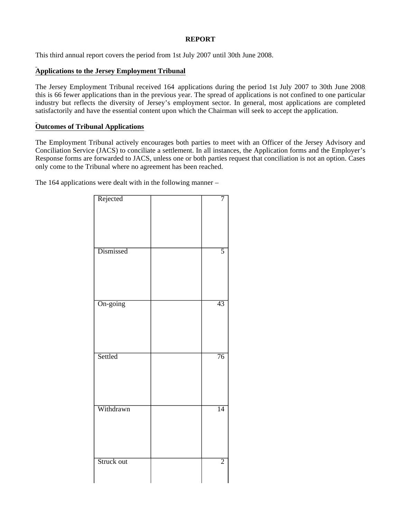#### **REPORT**

This third annual report covers the period from 1st July 2007 until 30th June 2008.

#### **Applications to the Jersey Employment Tribunal**

The Jersey Employment Tribunal received 164 applications during the period 1st July 2007 to 30th June 2008; this is 66 fewer applications than in the previous year. The spread of applications is not confined to one particular industry but reflects the diversity of Jersey's employment sector. In general, most applications are completed satisfactorily and have the essential content upon which the Chairman will seek to accept the application.

#### **Outcomes of Tribunal Applications**

The Employment Tribunal actively encourages both parties to meet with an Officer of the Jersey Advisory and Conciliation Service (JACS) to conciliate a settlement. In all instances, the Application forms and the Employer's Response forms are forwarded to JACS, unless one or both parties request that conciliation is not an option. Cases only come to the Tribunal where no agreement has been reached.

The 164 applications were dealt with in the following manner –

| Rejected   | 7               |
|------------|-----------------|
| Dismissed  | $\overline{5}$  |
| On-going   | 43              |
| Settled    | $\overline{76}$ |
| Withdrawn  | $\overline{14}$ |
| Struck out | $\overline{2}$  |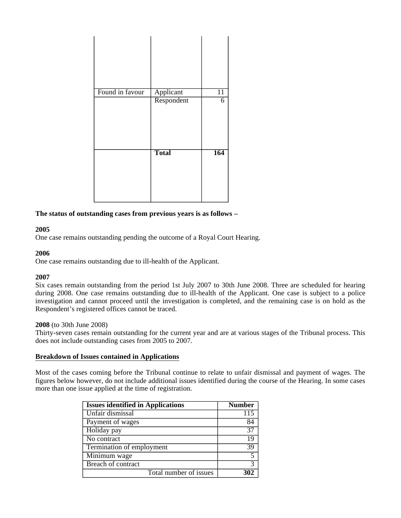| Found in favour | Applicant    | $\overline{11}$ |
|-----------------|--------------|-----------------|
|                 | Respondent   | 6               |
|                 | <b>Total</b> | 164             |

#### **The status of outstanding cases from previous years is as follows –**

#### **2005**

One case remains outstanding pending the outcome of a Royal Court Hearing.

#### **2006**

One case remains outstanding due to ill-health of the Applicant.

#### **2007**

Six cases remain outstanding from the period 1st July 2007 to 30th June 2008. Three are scheduled for hearing during 2008. One case remains outstanding due to ill-health of the Applicant. One case is subject to a police investigation and cannot proceed until the investigation is completed, and the remaining case is on hold as the Respondent's registered offices cannot be traced.

#### **2008** (to 30th June 2008)

Thirty-seven cases remain outstanding for the current year and are at various stages of the Tribunal process. This does not include outstanding cases from 2005 to 2007.

#### **Breakdown of Issues contained in Applications**

Most of the cases coming before the Tribunal continue to relate to unfair dismissal and payment of wages. The figures below however, do not include additional issues identified during the course of the Hearing. In some cases more than one issue applied at the time of registration.

| <b>Issues identified in Applications</b> | <b>Number</b> |
|------------------------------------------|---------------|
| Unfair dismissal                         | 115           |
| Payment of wages                         | 84            |
| Holiday pay                              | 37            |
| No contract                              | 19            |
| Termination of employment                | 39            |
| Minimum wage                             |               |
| Breach of contract                       | $\mathcal{R}$ |
| Total number of issues                   |               |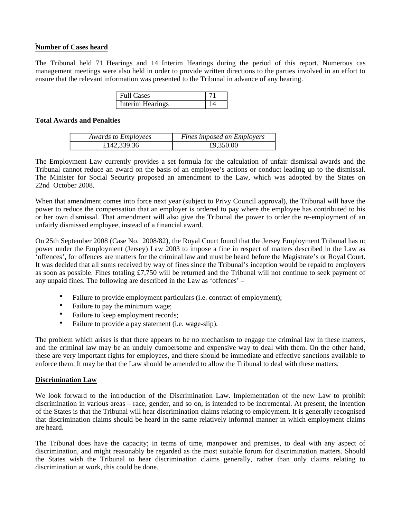#### **Number of Cases heard**

The Tribunal held 71 Hearings and 14 Interim Hearings during the period of this report. Numerous cas management meetings were also held in order to provide written directions to the parties involved in an effort to ensure that the relevant information was presented to the Tribunal in advance of any hearing.

| <b>Full Cases</b> |  |
|-------------------|--|
| Interim Hearings  |  |

#### **Total Awards and Penalties**

| <b>Awards to Employees</b> | Fines imposed on Employers |
|----------------------------|----------------------------|
| £142,339.36                | £9,350.00                  |

The Employment Law currently provides a set formula for the calculation of unfair dismissal awards and the Tribunal cannot reduce an award on the basis of an employee's actions or conduct leading up to the dismissal. The Minister for Social Security proposed an amendment to the Law, which was adopted by the States on 22nd October 2008.

When that amendment comes into force next year (subject to Privy Council approval), the Tribunal will have the power to reduce the compensation that an employer is ordered to pay where the employee has contributed to his or her own dismissal. That amendment will also give the Tribunal the power to order the re-employment of an unfairly dismissed employee, instead of a financial award.

On 25th September 2008 (Case No. 2008/82), the Royal Court found that the Jersey Employment Tribunal has no power under the Employment (Jersey) Law 2003 to impose a fine in respect of matters described in the Law as 'offences', for offences are matters for the criminal law and must be heard before the Magistrate's or Royal Court. It was decided that all sums received by way of fines since the Tribunal's inception would be repaid to employers as soon as possible. Fines totaling £7,750 will be returned and the Tribunal will not continue to seek payment of any unpaid fines. The following are described in the Law as 'offences' –

- Failure to provide employment particulars (i.e. contract of employment);
- Failure to pay the minimum wage;
- Failure to keep employment records;
- Failure to provide a pay statement (i.e. wage-slip).

The problem which arises is that there appears to be no mechanism to engage the criminal law in these matters, and the criminal law may be an unduly cumbersome and expensive way to deal with them. On the other hand, these are very important rights for employees, and there should be immediate and effective sanctions available to enforce them. It may be that the Law should be amended to allow the Tribunal to deal with these matters.

#### **Discrimination Law**

We look forward to the introduction of the Discrimination Law. Implementation of the new Law to prohibit discrimination in various areas – race, gender, and so on, is intended to be incremental. At present, the intention of the States is that the Tribunal will hear discrimination claims relating to employment. It is generally recognised that discrimination claims should be heard in the same relatively informal manner in which employment claims are heard.

The Tribunal does have the capacity; in terms of time, manpower and premises, to deal with any aspect of discrimination, and might reasonably be regarded as the most suitable forum for discrimination matters. Should the States wish the Tribunal to hear discrimination claims generally, rather than only claims relating to discrimination at work, this could be done.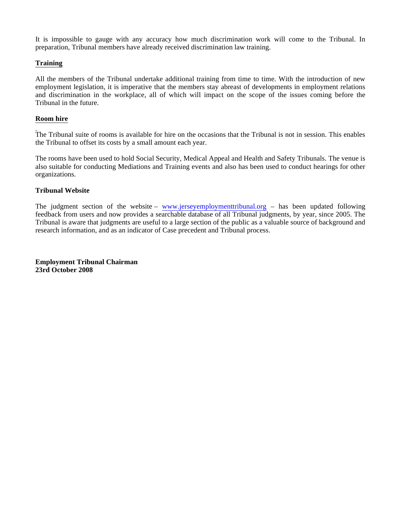It is impossible to gauge with any accuracy how much discrimination work will come to the Tribunal. In preparation, Tribunal members have already received discrimination law training.

#### **Training**

All the members of the Tribunal undertake additional training from time to time. With the introduction of new employment legislation, it is imperative that the members stay abreast of developments in employment relations and discrimination in the workplace, all of which will impact on the scope of the issues coming before the Tribunal in the future.

#### **Room hire**

The Tribunal suite of rooms is available for hire on the occasions that the Tribunal is not in session. This enables the Tribunal to offset its costs by a small amount each year.

The rooms have been used to hold Social Security, Medical Appeal and Health and Safety Tribunals. The venue is also suitable for conducting Mediations and Training events and also has been used to conduct hearings for other organizations.

#### **Tribunal Website**

The judgment section of the website – <www.jerseyemploymenttribunal.org> – has been updated following feedback from users and now provides a searchable database of all Tribunal judgments, by year, since 2005. The Tribunal is aware that judgments are useful to a large section of the public as a valuable source of background and research information, and as an indicator of Case precedent and Tribunal process.

**Employment Tribunal Chairman 23rd October 2008**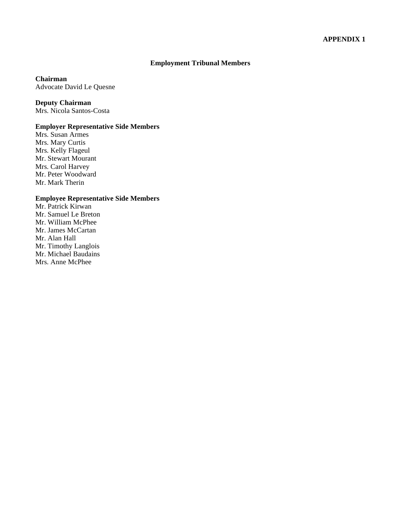#### **Employment Tribunal Members**

#### **Chairman**

Advocate David Le Quesne

#### **Deputy Chairman**

Mrs. Nicola Santos-Costa

#### **Employer Representative Side Members**

Mrs. Susan Armes Mrs. Mary Curtis Mrs. Kelly Flageul Mr. Stewart Mourant Mrs. Carol Harvey Mr. Peter Woodward Mr. Mark Therin

#### **Employee Representative Side Members**

Mr. Patrick Kirwan Mr. Samuel Le Breton Mr. William McPhee Mr. James McCartan Mr. Alan Hall Mr. Timothy Langlois Mr. Michael Baudains Mrs. Anne McPhee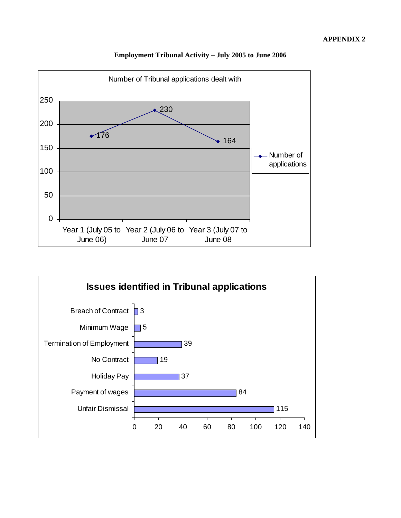

#### **Employment Tribunal Activity – July 2005 to June 2006**